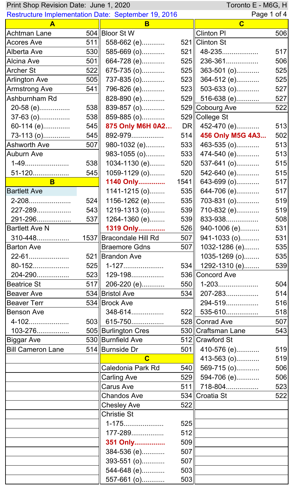| Toronto E - M6G, H<br>Print Shop Revision Date: June 1, 2020 |     |                                                            |      |                      |     |
|--------------------------------------------------------------|-----|------------------------------------------------------------|------|----------------------|-----|
|                                                              |     | <b>Restructure Implementation Date: September 19, 2016</b> |      | Page 1 of 4          |     |
| A                                                            |     | B                                                          |      | $\mathbf C$          |     |
| <b>Achtman Lane</b>                                          |     | 504 Bloor St W                                             |      | <b>Clinton PI</b>    | 506 |
| <b>Acores Ave</b>                                            | 511 | 558-662 (e)                                                |      | 521 Clinton St       |     |
| Alberta Ave                                                  | 530 | 585-669 (o)                                                | 521  | 48-235               | 517 |
| Alcina Ave                                                   | 501 | 664-728 (e)                                                | 525  | 236-361              | 506 |
| <b>Archer St</b>                                             | 522 | 675-735 (o)                                                | 525  | 363-501 (o)          | 525 |
| <b>Arlington Ave</b>                                         | 505 | 737-835 (o)                                                | 523  | 364-512 (e)          | 525 |
| <b>Armstrong Ave</b>                                         | 541 | 796-826 (e)                                                | 523  | 503-633 (o)          | 527 |
| Ashburnham Rd                                                |     | 828-890 (e)                                                |      | 529 516-638 (e)      | 527 |
| 20-58 (e)                                                    | 538 | 839-857 (o)                                                |      | 529 Cobourg Ave      | 522 |
| 37-63 (o)                                                    | 538 | 859-885 (o)                                                |      | 529 College St       |     |
| 60-114 (e)                                                   | 545 | 875 Only M6H 0A2                                           |      | DR    452-470 (e)    | 513 |
| 73-113 (0)                                                   | 545 | 892-979                                                    | 514  | 456 Only M5G 4A3     | 502 |
| <b>Ashworth Ave</b>                                          | 507 | 980-1032 (e)                                               | 533  | 463-535 (o)          | 513 |
| <b>Auburn Ave</b>                                            |     | 983-1055 (o)                                               | 533  | 474-540 (e)          | 513 |
| 1-49                                                         | 538 | 1034-1130 (e)                                              | 520  | 537-641 (o)          | 515 |
| 51-120                                                       | 545 | 1059-1129 (o)                                              | 520  | 542-640 (e)          | 515 |
| B                                                            |     | 1140 Only                                                  | 1541 | 643-699 (o)          | 517 |
| <b>Bartlett Ave</b>                                          |     | $1141 - 1215$ (o)                                          | 535  | 644-706 (e)          | 517 |
| 2-208                                                        | 524 | 1156-1262 (e)                                              | 535  | 703-831 (o)          | 519 |
| 227-289                                                      | 543 | $1219 - 1313(0)$                                           | 539  | 710-832 (e)          | 519 |
| 291-296                                                      |     | $537$   1264-1360 (e)                                      | 539  | 833-938              | 508 |
| <b>Bartlett Ave N</b>                                        |     |                                                            |      |                      | 531 |
|                                                              |     | 1319 Only                                                  |      | $526$   940-1006 (e) |     |
| 310-448                                                      |     | 1537 Bracondale Hill Rd                                    |      | $507$   941-1033 (o) | 531 |
| <b>Barton Ave</b>                                            |     | <b>Braemore Gdns</b>                                       | 507  | 1032-1286 (e)        | 535 |
| 22-61                                                        |     | 521 Brandon Ave                                            |      | 1035-1269 (o)        | 535 |
| 80-152                                                       |     |                                                            |      | 534 1292-1310 (e)    | 539 |
| 204-290                                                      |     | $523$   129-198                                            |      | 536 Concord Ave      |     |
| <b>Beatrice St</b>                                           |     | 517 206-220 (e)                                            |      | $550$    1-203       | 504 |
| <b>Beaver Ave</b>                                            |     | 534 Bristol Ave                                            |      | 534   207-283        | 514 |
| <b>Beaver Terr</b>                                           |     | 534 Brock Ave                                              |      | 294-519              | 516 |
| <b>Benson Ave</b>                                            |     | 348-614                                                    |      | 522   535-610        | 518 |
| 4-102                                                        |     | $503$ 615-750                                              |      | 528 Conrad Ave       | 507 |
| 103-276                                                      |     | 505 Burlington Cres                                        |      | 530 Craftsman Lane   | 543 |
| Biggar Ave                                                   |     | 530 Burnfield Ave                                          |      | 512 Crawford St      |     |
| <b>Bill Cameron Lane</b>                                     |     | 514 Burnside Dr                                            | 501  | 410-576 (e)          | 519 |
|                                                              |     | $\overline{\mathbf{C}}$                                    |      | 413-563 (o)          | 519 |
|                                                              |     | Caledonia Park Rd                                          | 540  | 569-715 (o)          | 506 |
|                                                              |     | <b>Carling Ave</b>                                         | 529  | 594-706 (e)          | 506 |
|                                                              |     | <b>Carus Ave</b>                                           |      | 511  718-804         | 523 |
|                                                              |     | <b>Chandos Ave</b>                                         |      | 534 Croatia St       | 522 |
|                                                              |     | <b>Chesley Ave</b>                                         | 522  |                      |     |
|                                                              |     | <b>Christie St</b>                                         |      |                      |     |
|                                                              |     | 1-175                                                      | 525  |                      |     |
|                                                              |     | 177-289                                                    | 512  |                      |     |
|                                                              |     | 351 Only                                                   | 509  |                      |     |
|                                                              |     | 384-536 (e)                                                | 507  |                      |     |
|                                                              |     | 393-551 (o)                                                | 507  |                      |     |
|                                                              |     | 544-648 (e)                                                | 503  |                      |     |
|                                                              |     | 557-661 (o)                                                | 503  |                      |     |
|                                                              |     |                                                            |      |                      |     |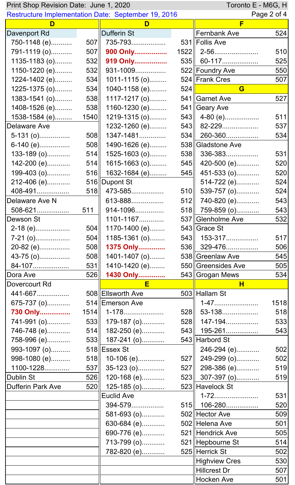| Toronto E - M6G, H<br>Print Shop Revision Date: June 1, 2020 |      |                       |     |                      |             |
|--------------------------------------------------------------|------|-----------------------|-----|----------------------|-------------|
| <b>Restructure Implementation Date: September 19, 2016</b>   |      |                       |     |                      | Page 2 of 4 |
| D                                                            |      | D                     |     | F                    |             |
| Davenport Rd                                                 |      | Dufferin St           |     | <b>Fernbank Ave</b>  | 524         |
| 750-1148 (e)                                                 | 507  | 735-793               |     | 531 Follis Ave       |             |
| 791-1119 (o)                                                 | 507  | 900 Only              |     | $1522$   2-56        | 510         |
| 1135-1183 (o)                                                | 532  | 919 Only              |     | 535   60-117         | 525         |
| 1150-1220 (e)                                                | 532  | 931-1009              |     | 522 Foundry Ave      | 550         |
| 1224-1402 (e)                                                | 534  | 1011-1115 (o)         |     | 524 Frank Cres       | 507         |
| 1225-1375 (o)                                                | 534  | 1040-1158 (e)         | 524 | G                    |             |
| 1383-1541 (o)                                                | 538  | 1117-1217 (o)         |     | 541 Garnet Ave       | 527         |
| 1408-1526 (e)                                                | 538  | 1160-1230 (e)         |     | 541   Geary Ave      |             |
| 1538-1584 (e)                                                | 1540 | 1219-1315 (o)         |     | 543   4-80 (e)       | 511         |
| Delaware Ave                                                 |      | 1232-1260 (e)         |     | $543$   82-229       | 537         |
| $5-131(0)$                                                   | 508  | 1347-1481             |     | 534   260-360        | 534         |
| 6-140 (e)                                                    | 508  | 1490-1626 (e)         |     | 538 Gladstone Ave    |             |
| $133-189$ (o)                                                | 514  | 1525-1603 (o)         | 538 | 336-383              | 531         |
| 142-200 (e)                                                  | 514  | 1615-1663 (o)         | 545 | 420-500 (e)          | 520         |
| 199-403 (o)                                                  | 516  | 1632-1684 (e)         | 545 | 451-533 (o)          | 520         |
| 212-406 (e)                                                  |      | 516 Dupont St         |     | 514-722 (e)          | 524         |
| 408-491                                                      | 518  | 473-585               | 510 | 539-757 (o)          | 524         |
| Delaware Ave N                                               |      | 613-888               | 512 | 740-820 (e)          | 543         |
| 508-621                                                      | 511  | 914-1096              | 518 | 759-859 (o)          | 543         |
| Dewson St                                                    |      | 1101-1167             |     | 537 Glenholme Ave    | 532         |
| 2-18 (e)                                                     | 504  | 1170-1400 (e)         |     | 543 Grace St         |             |
| $7-21$ (o)                                                   | 504  | 1185-1361 (o)         |     | 543   153-317        | 517         |
| 20-82 (e)                                                    | 508  | 1375 Only             |     | 536 329-476          | 506         |
| 43-75 (0)                                                    | 508  | 1401-1407 (o)         |     | 538 Greenlaw Ave     | 545         |
| 84-107                                                       | 531  | 1410-1420 (e)         |     | 550 Greensides Ave   | 505         |
| Dora Ave                                                     | 526  | 1430 Only             |     | 543 Grogan Mews      | 534         |
| Dovercourt Rd                                                |      | E                     |     | н                    |             |
| 441-667                                                      |      | 508 Ellsworth Ave     |     | 503 Hallam St        |             |
| 675-737 (o)                                                  |      | 514 Emerson Ave       |     | 1-47                 | 1518        |
| 730 Only                                                     |      | $1514$   $1-178$      |     | 528    53-138        | 518         |
| 741-991 (o)                                                  |      | 533 179-187 (o)       |     | 528    147-194       | 533         |
| 746-748 (e)                                                  |      | 514 $  182 - 250 (e)$ |     | 543  195-261         | 543         |
| 758-996 (e)                                                  |      | 533 187-241 (o)       |     | 543 Harbord St       |             |
| 993-1097 (o)                                                 |      | $518$  Essex St       |     | 246-294 (e)          | 502         |
| 998-1080 (e)                                                 |      | 518 10-106 (e)        |     | $527$    249-299 (o) | 502         |
| 1100-1228                                                    |      | $537$ 35-123 (o)      |     | 527   298-386 (e)    | 519         |
|                                                              |      |                       |     |                      |             |
| Dublin St                                                    | 526  | 120-168 (e)           |     | 523 307-397 (o)      | 519         |
| <b>Dufferin Park Ave</b>                                     | 520  | 125-185 (o)           |     | 523 Havelock St      |             |
|                                                              |      | <b>Euclid Ave</b>     |     | 1-72                 | 531         |
|                                                              |      | 394-579               |     | 515  106-280         | 520         |
|                                                              |      | 581-693 (o)           |     | 502 Hector Ave       | 509         |
|                                                              |      | 630-684 (e)           |     | 502 Helena Ave       | 501         |
|                                                              |      | 690-776 (e)           |     | 521 Hendrick Ave     | 505         |
|                                                              |      | 713-799 (o)           |     | 521 Hepbourne St     | 514         |
|                                                              |      | 782-820 (e)           |     | 525 Herrick St       | 502         |
|                                                              |      |                       |     | <b>Highview Cres</b> | 530         |
|                                                              |      |                       |     | <b>Hillcrest Dr</b>  | 507         |
|                                                              |      |                       |     | <b>Hocken Ave</b>    | 501         |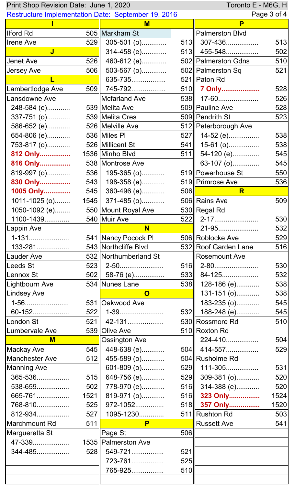| Toronto E - M6G, H<br>Print Shop Revision Date: June 1, 2020 |      |                         |     |                        |             |
|--------------------------------------------------------------|------|-------------------------|-----|------------------------|-------------|
| Restructure Implementation Date: September 19, 2016          |      |                         |     |                        | Page 3 of 4 |
|                                                              |      | M                       |     | P                      |             |
| <b>Ilford Rd</b>                                             |      | 505 Markham St          |     | <b>Palmerston Blvd</b> |             |
| <b>Irene Ave</b>                                             | 529  | $305 - 501$ (o)         |     | $513$ 307-436          | 513         |
| $\overline{\mathsf{J}}$                                      |      | 314-458 (e)             |     | $513$   455-548        | 502         |
| <b>Jenet Ave</b>                                             | 526  | 460-612 (e)             |     | 502  Palmerston Gdns   | 510         |
| <b>Jersey Ave</b>                                            | 506  | 503-567 (o)             |     | 502 Palmerston Sq      | 521         |
|                                                              |      | 635-735                 |     | 521   Paton Rd         |             |
| Lambertlodge Ave                                             | 509  | 745-792                 |     | 510  7 Only            | 528         |
| Lansdowne Ave                                                |      | Mcfarland Ave           |     | $538$   17-60          | 526         |
| 248-584 (e)                                                  |      | 539 Melita Ave          |     | 509 Pauline Ave        | 528         |
| 337-751 (o)                                                  |      | 539 Melita Cres         |     | 509 Pendrith St        | 523         |
| 586-652 (e)                                                  |      | 526   Melville Ave      |     | 512 Peterborough Ave   |             |
| 654-806 (e)                                                  |      | 536 Miles PI            | 527 | 14-52 (e)              | 538         |
| 753-817 (o)                                                  |      | 526 Millicent St        | 541 | 15-61 (o)              | 538         |
| 812 Only                                                     |      | 1536 Minho Blvd         | 511 | 54-120 (e)             | 545         |
| 816 Only                                                     |      | 538 Montrose Ave        |     | 63-107 (o)             | 545         |
| 819-997 (o)                                                  |      | 536    195-365 (o)      |     | 519  Powerhouse St     | 550         |
| 830 Only                                                     | 543  | 198-358 (e)             |     | 519  Primrose Ave      | 536         |
| 1005 Only                                                    |      | 545 360-496 (e)         | 506 | R                      |             |
| $1011 - 1025$ (o)                                            |      | $1545$ 371-485 (o)      |     | 506 Rains Ave          | 509         |
| 1050-1092 (e)                                                |      | 550 Mount Royal Ave     |     | 530 Regal Rd           |             |
| 1100-1439                                                    |      | 540 Muir Ave            | 522 | 2-17                   | 530         |
| Lappin Ave                                                   |      | $\overline{\mathsf{N}}$ |     | 21-95                  | 532         |
| 1-131                                                        |      | 541 Nancy Pocock PI     |     | 506 Roblocke Ave       | 529         |
| 133-281                                                      |      | 543 Northcliffe Blvd    |     | 532 Roof Garden Lane   | 516         |
| Lauder Ave                                                   |      | 532 Northumberland St   |     | <b>Rosemount Ave</b>   |             |
| Leeds St                                                     |      | $523$   2-50            |     | $516$   2-80           | 530         |
| Lennox St                                                    |      | $502$ 58-76 (e)         |     | $533$ 84-125           | 532         |
| Lightbourn Ave                                               |      | 534 Nunes Lane          | 538 | 128-186 (e)            | 538         |
| <b>Lindsey Ave</b>                                           |      | $\mathbf 0$             |     | 131-151 (o)            | 538         |
| 1-56                                                         |      | 531 Oakwood Ave         |     | 183-235 (o)            | 545         |
| 60-152                                                       | 522  | 1-39                    | 532 | 188-248 (e)            | 545         |
| London St                                                    | 521  | 42-131                  |     | 530 Rossmore Rd        | 510         |
| Lumbervale Ave                                               |      | 539 Olive Ave           |     | 510 Roxton Rd          |             |
| M                                                            |      | <b>Ossington Ave</b>    |     | 224-410                | 504         |
| <b>Mackay Ave</b>                                            | 545  | 448-638 (e)             |     | 504  414-557           | 529         |
| <b>Manchester Ave</b>                                        | 512  | 455-589 (o)             |     | 504 Rusholme Rd        |             |
| <b>Manning Ave</b>                                           |      | 601-809 (o)             |     | 529   111-305          | 531         |
| 365-536                                                      | 515  | 648-756 (e)             |     | 529 309-381 (o)        | 520         |
| 538-659                                                      | 502  | 778-970 (e)             | 516 | 314-388 (e)            | 520         |
| 665-761                                                      | 1521 | 819-971 (o)             |     | 516 323 Only           | 1524        |
| 768-810                                                      | 525  | 972-1052                |     | 518 357 Only           | 1520        |
| 812-934                                                      | 527  | 1095-1230               |     | 511 Rushton Rd         | 503         |
| Marchmount Rd                                                | 511  | P                       |     | <b>Russett Ave</b>     | 541         |
| Margueretta St                                               |      | $\parallel$ Page St     | 506 |                        |             |
| 47-339                                                       |      | 1535 Palmerston Ave     |     |                        |             |
| 344-485                                                      | 528  | 549-721                 | 521 |                        |             |
|                                                              |      | 723-761                 | 525 |                        |             |
|                                                              |      | 765-925                 | 510 |                        |             |
|                                                              |      |                         |     |                        |             |
|                                                              |      |                         |     |                        |             |